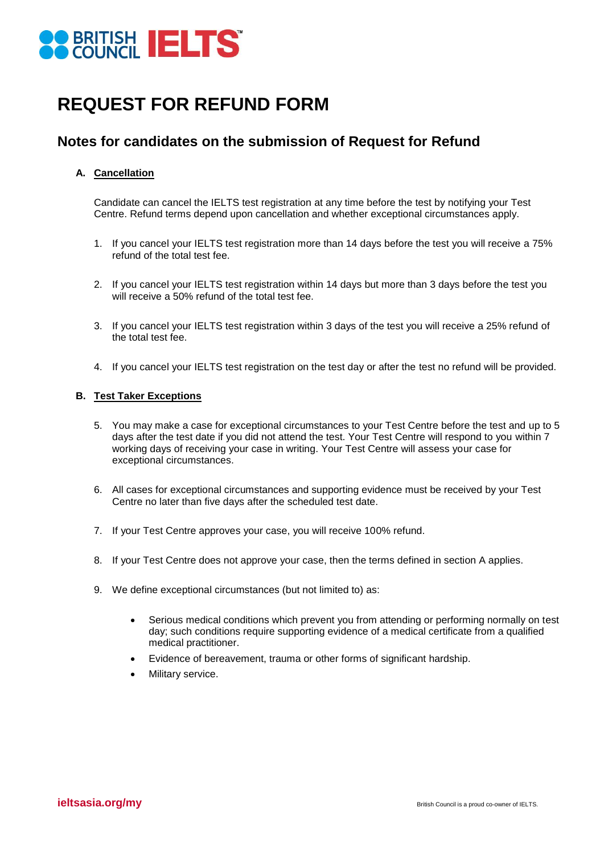

## **REQUEST FOR REFUND FORM**

### **Notes for candidates on the submission of Request for Refund**

### **A. Cancellation**

Candidate can cancel the IELTS test registration at any time before the test by notifying your Test Centre. Refund terms depend upon cancellation and whether exceptional circumstances apply.

- 1. If you cancel your IELTS test registration more than 14 days before the test you will receive a 75% refund of the total test fee.
- 2. If you cancel your IELTS test registration within 14 days but more than 3 days before the test you will receive a 50% refund of the total test fee.
- 3. If you cancel your IELTS test registration within 3 days of the test you will receive a 25% refund of the total test fee.
- 4. If you cancel your IELTS test registration on the test day or after the test no refund will be provided.

### **B. Test Taker Exceptions**

- 5. You may make a case for exceptional circumstances to your Test Centre before the test and up to 5 days after the test date if you did not attend the test. Your Test Centre will respond to you within 7 working days of receiving your case in writing. Your Test Centre will assess your case for exceptional circumstances.
- 6. All cases for exceptional circumstances and supporting evidence must be received by your Test Centre no later than five days after the scheduled test date.
- 7. If your Test Centre approves your case, you will receive 100% refund.
- 8. If your Test Centre does not approve your case, then the terms defined in section A applies.
- 9. We define exceptional circumstances (but not limited to) as:
	- Serious medical conditions which prevent you from attending or performing normally on test day; such conditions require supporting evidence of a medical certificate from a qualified medical practitioner.
	- Evidence of bereavement, trauma or other forms of significant hardship.
	- Military service.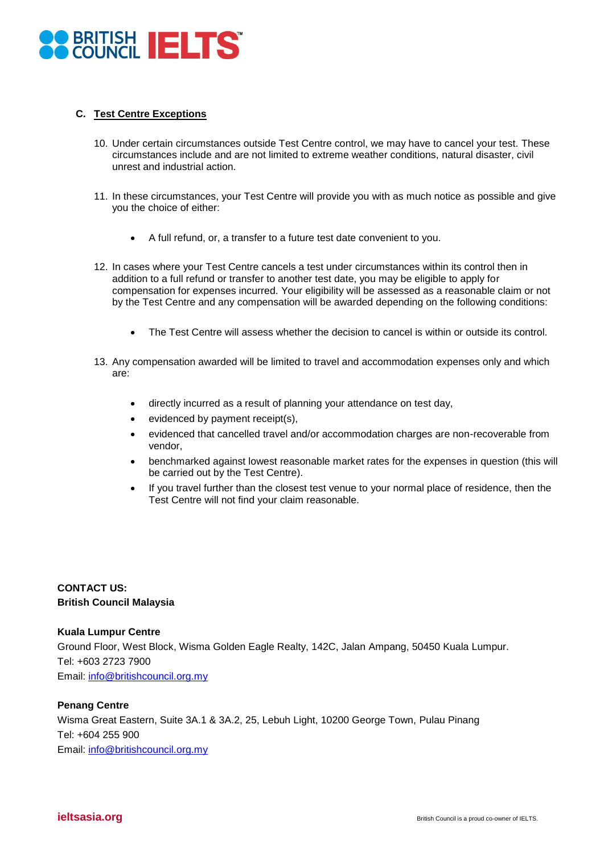

### **C. Test Centre Exceptions**

- 10. Under certain circumstances outside Test Centre control, we may have to cancel your test. These circumstances include and are not limited to extreme weather conditions, natural disaster, civil unrest and industrial action.
- 11. In these circumstances, your Test Centre will provide you with as much notice as possible and give you the choice of either:
	- A full refund, or, a transfer to a future test date convenient to you.
- 12. In cases where your Test Centre cancels a test under circumstances within its control then in addition to a full refund or transfer to another test date, you may be eligible to apply for compensation for expenses incurred. Your eligibility will be assessed as a reasonable claim or not by the Test Centre and any compensation will be awarded depending on the following conditions:
	- The Test Centre will assess whether the decision to cancel is within or outside its control.
- 13. Any compensation awarded will be limited to travel and accommodation expenses only and which are:
	- directly incurred as a result of planning your attendance on test day,
	- evidenced by payment receipt(s),
	- evidenced that cancelled travel and/or accommodation charges are non-recoverable from vendor,
	- benchmarked against lowest reasonable market rates for the expenses in question (this will be carried out by the Test Centre).
	- If you travel further than the closest test venue to your normal place of residence, then the Test Centre will not find your claim reasonable.

### **CONTACT US: British Council Malaysia**

#### **Kuala Lumpur Centre**

Ground Floor, West Block, Wisma Golden Eagle Realty, 142C, Jalan Ampang, 50450 Kuala Lumpur. Tel: +603 2723 7900 Email: [info@britishcouncil.org.my](mailto:info@britishcouncil.org.my)

### **Penang Centre**

Wisma Great Eastern, Suite 3A.1 & 3A.2, 25, Lebuh Light, 10200 George Town, Pulau Pinang Tel: +604 255 900 Email: [info@britishcouncil.org.my](mailto:info@britishcouncil.org.my)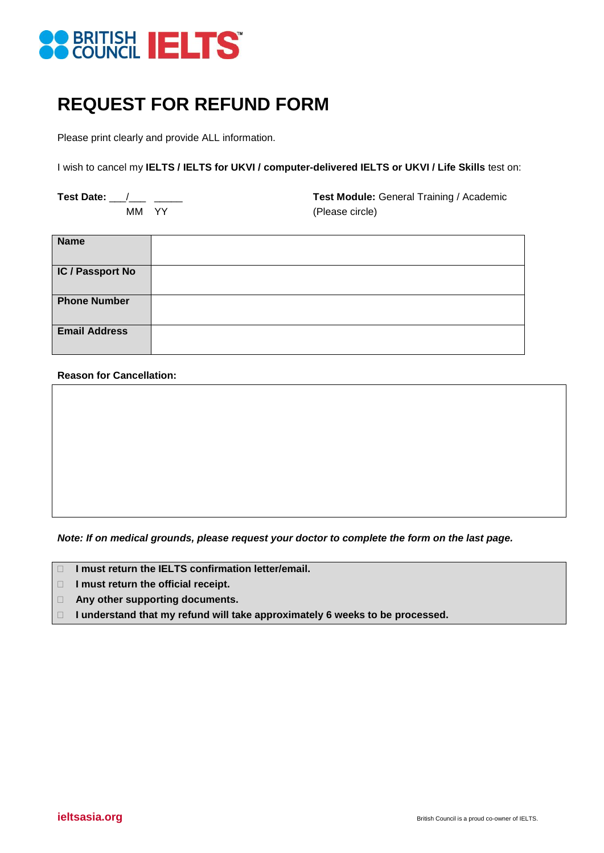

# **REQUEST FOR REFUND FORM**

Please print clearly and provide ALL information.

I wish to cancel my **IELTS / IELTS for UKVI / computer-delivered IELTS or UKVI / Life Skills** test on:

Test Date: <u>\_\_\_/ \_\_</u> \_\_\_\_\_\_ \_\_\_\_\_ Test Module: General Training / Academic MM YY (Please circle)

| <b>Name</b>          |  |
|----------------------|--|
| IC / Passport No     |  |
| <b>Phone Number</b>  |  |
| <b>Email Address</b> |  |

#### **Reason for Cancellation:**

*Note: If on medical grounds, please request your doctor to complete the form on the last page.*

- **I** I must return the **IELTS** confirmation letter/email.
- **I must return the official receipt.**
- **Any other supporting documents.**
- **I understand that my refund will take approximately 6 weeks to be processed.**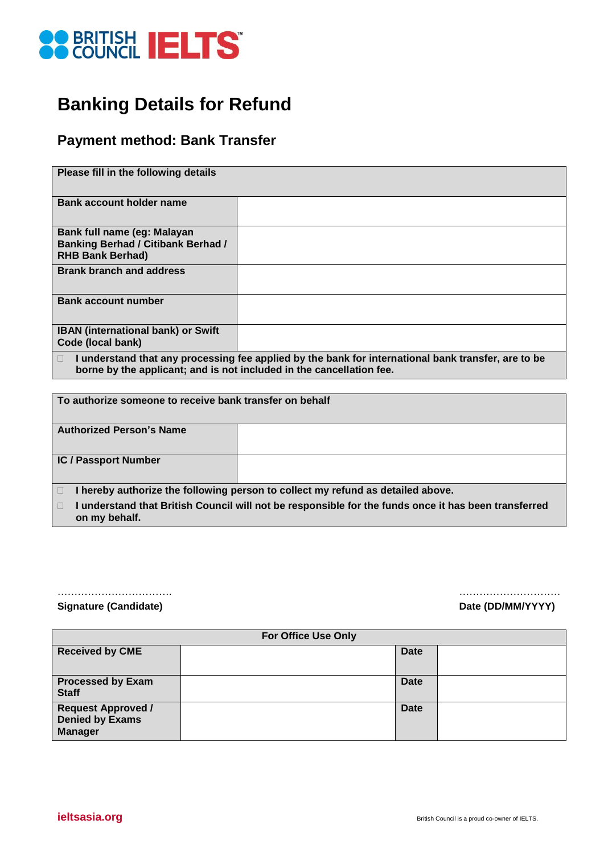

# **Banking Details for Refund**

### **Payment method: Bank Transfer**

| Please fill in the following details                                                                |                                                                                                     |
|-----------------------------------------------------------------------------------------------------|-----------------------------------------------------------------------------------------------------|
| <b>Bank account holder name</b>                                                                     |                                                                                                     |
| Bank full name (eg: Malayan<br><b>Banking Berhad / Citibank Berhad /</b><br><b>RHB Bank Berhad)</b> |                                                                                                     |
| <b>Brank branch and address</b>                                                                     |                                                                                                     |
| <b>Bank account number</b>                                                                          |                                                                                                     |
| <b>IBAN</b> (international bank) or Swift<br>Code (local bank)                                      |                                                                                                     |
| $\Box$<br>borne by the applicant; and is not included in the cancellation fee.                      | I understand that any processing fee applied by the bank for international bank transfer, are to be |

| To authorize someone to receive bank transfer on behalf |                                                                                                      |
|---------------------------------------------------------|------------------------------------------------------------------------------------------------------|
| <b>Authorized Person's Name</b>                         |                                                                                                      |
| <b>IC / Passport Number</b>                             |                                                                                                      |
|                                                         | hereby authorize the following person to collect my refund as detailed above.                        |
| on my behalf.                                           | I understand that British Council will not be responsible for the funds once it has been transferred |

#### ……………………………. ………………………… **Signature (Candidate) Date (DD/MM/YYYY)**

|                                                                       | <b>For Office Use Only</b> |             |  |
|-----------------------------------------------------------------------|----------------------------|-------------|--|
| <b>Received by CME</b>                                                |                            | <b>Date</b> |  |
| <b>Processed by Exam</b><br><b>Staff</b>                              |                            | <b>Date</b> |  |
| <b>Request Approved /</b><br><b>Denied by Exams</b><br><b>Manager</b> |                            | <b>Date</b> |  |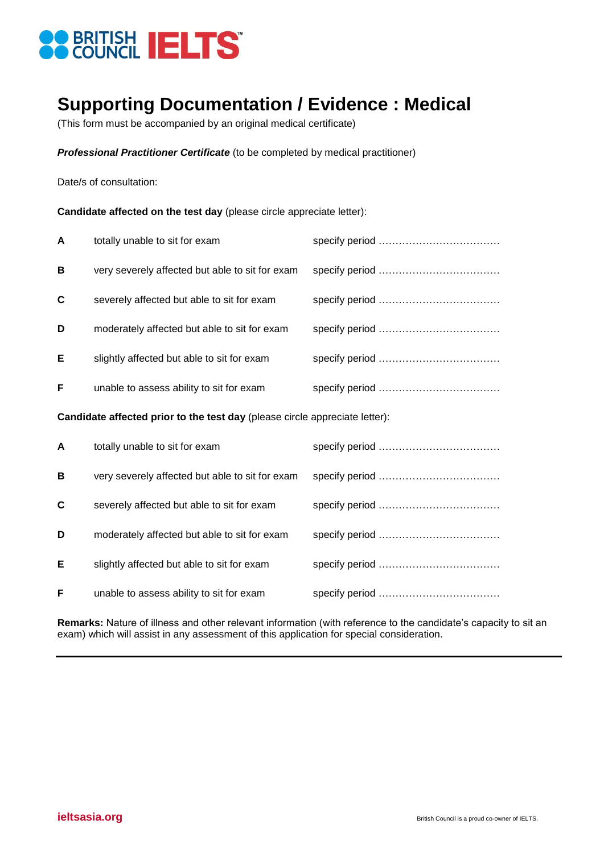

### **Supporting Documentation / Evidence : Medical**

(This form must be accompanied by an original medical certificate)

*Professional Practitioner Certificate* (to be completed by medical practitioner)

Date/s of consultation:

**Candidate affected on the test day** (please circle appreciate letter):

| $\mathsf{A}$ | totally unable to sit for exam                  |  |
|--------------|-------------------------------------------------|--|
| B            | very severely affected but able to sit for exam |  |
| C            | severely affected but able to sit for exam      |  |
| D            | moderately affected but able to sit for exam    |  |
| Е            | slightly affected but able to sit for exam      |  |
| F            | unable to assess ability to sit for exam        |  |

**Candidate affected prior to the test day** (please circle appreciate letter):

| $\mathsf{A}$ | totally unable to sit for exam                  |  |
|--------------|-------------------------------------------------|--|
| B            | very severely affected but able to sit for exam |  |
| C            | severely affected but able to sit for exam      |  |
| D            | moderately affected but able to sit for exam    |  |
| Е            | slightly affected but able to sit for exam      |  |
| F            | unable to assess ability to sit for exam        |  |

**Remarks:** Nature of illness and other relevant information (with reference to the candidate's capacity to sit an exam) which will assist in any assessment of this application for special consideration.